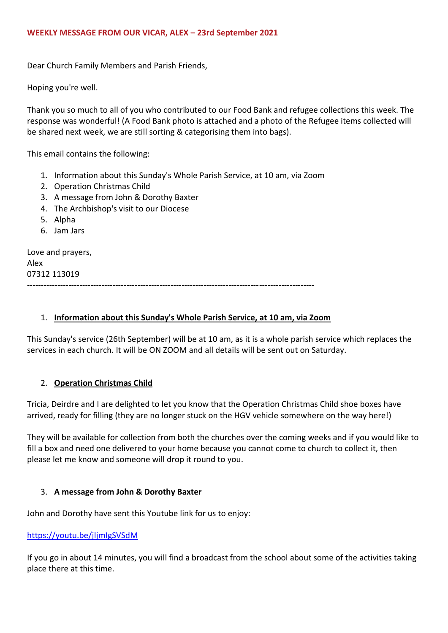Dear Church Family Members and Parish Friends,

Hoping you're well.

Thank you so much to all of you who contributed to our Food Bank and refugee collections this week. The response was wonderful! (A Food Bank photo is attached and a photo of the Refugee items collected will be shared next week, we are still sorting & categorising them into bags).

This email contains the following:

- 1. Information about this Sunday's Whole Parish Service, at 10 am, via Zoom
- 2. Operation Christmas Child
- 3. A message from John & Dorothy Baxter
- 4. The Archbishop's visit to our Diocese
- 5. Alpha
- 6. Jam Jars

Love and prayers, Alex 07312 113019 --------------------------------------------------------------------------------------------------------

### 1. **Information about this Sunday's Whole Parish Service, at 10 am, via Zoom**

This Sunday's service (26th September) will be at 10 am, as it is a whole parish service which replaces the services in each church. It will be ON ZOOM and all details will be sent out on Saturday.

# 2. **Operation Christmas Child**

Tricia, Deirdre and I are delighted to let you know that the Operation Christmas Child shoe boxes have arrived, ready for filling (they are no longer stuck on the HGV vehicle somewhere on the way here!)

They will be available for collection from both the churches over the coming weeks and if you would like to fill a box and need one delivered to your home because you cannot come to church to collect it, then please let me know and someone will drop it round to you.

### 3. **A message from John & Dorothy Baxter**

John and Dorothy have sent this Youtube link for us to enjoy:

### <https://youtu.be/jljmIgSVSdM>

If you go in about 14 minutes, you will find a broadcast from the school about some of the activities taking place there at this time.